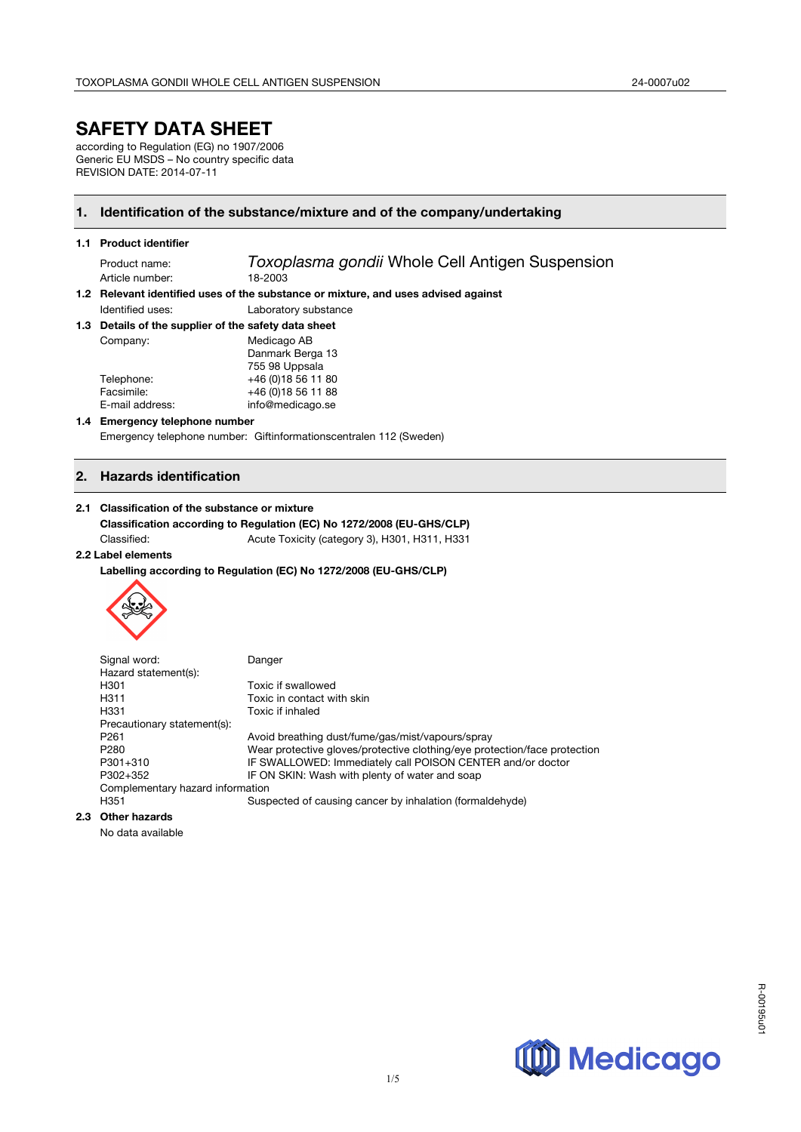# **SAFETY DATA SHEET**

according to Regulation (EG) no 1907/2006 Generic EU MSDS - No country specific data REVISION DATE: 2014-07-11

### **1. Identification of the substance/mixture and of the company/undertaking**

#### **1.1 Product identifier**

Article number:

Product name: *Toxoplasma gondii* Whole Cell Antigen Suspension

**1.2 Relevant identified uses of the substance or mixture, and uses advised against**  Identified uses: Laboratory substance

# **1.3 Details of the supplier of the safety data sheet**

| Company:        | Medicago AB         |
|-----------------|---------------------|
|                 | Danmark Berga 13    |
|                 | 755 98 Uppsala      |
| Telephone:      | +46 (0)18 56 11 80  |
| Facsimile:      | +46 (0) 18 56 11 88 |
| E-mail address: | info@medicago.se    |
|                 |                     |

#### **1.4 Emergency telephone number**

Emergency telephone number: Giftinformationscentralen 112 (Sweden)

### **2. Hazards identification**

#### **2.1 Classification of the substance or mixture**

**Classification according to Regulation (EC) No 1272/2008 (EU-GHS/CLP)** Classified: Acute Toxicity (category 3), H301, H311, H331

#### **2.2 Label elements**

**Labelling according to Regulation (EC) No 1272/2008 (EU-GHS/CLP)**



Signal word: Danger Hazard statement(s): H301 Toxic if swallowed<br>
H311 Toxic in contact w Toxic in contact with skin H331 Toxic if inhaled Precautionary statement(s): P261 Avoid breathing dust/fume/gas/mist/vapours/spray P280 Wear protective gloves/protective clothing/eye protection/face protection<br>P301+310 IF SWALLOWED: Immediately call POISON CENTER and/or doctor P301+310 IF SWALLOWED: Immediately call POISON CENTER and/or doctor<br>P302+352 IF ON SKIN: Wash with plenty of water and soap IF ON SKIN: Wash with plenty of water and soap Complementary hazard information H351 Suspected of causing cancer by inhalation (formaldehyde)

### **2.3 Other hazards**

No data available

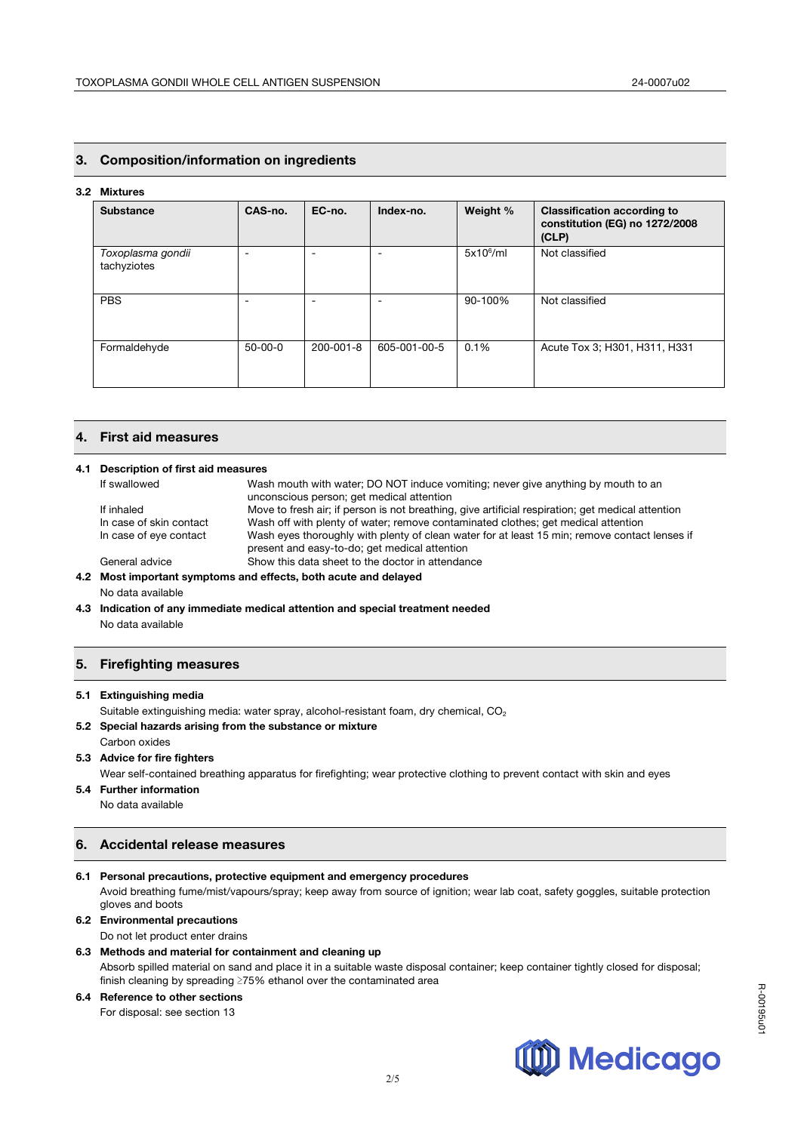### **3. Composition/information on ingredients**

#### **3.2 Mixtures**

| <b>Substance</b>                 | CAS-no.       | EC-no.    | Index-no.    | Weight %     | <b>Classification according to</b><br>constitution (EG) no 1272/2008<br>(CLP) |
|----------------------------------|---------------|-----------|--------------|--------------|-------------------------------------------------------------------------------|
| Toxoplasma gondii<br>tachyziotes |               |           |              | $5x10^6$ /ml | Not classified                                                                |
| <b>PBS</b>                       | -             | -         |              | 90-100%      | Not classified                                                                |
| Formaldehyde                     | $50 - 00 - 0$ | 200-001-8 | 605-001-00-5 | 0.1%         | Acute Tox 3; H301, H311, H331                                                 |

#### **4. First aid measures**

#### **4.1 Description of first aid measures**

|                                                                 | If swallowed            | Wash mouth with water; DO NOT induce vomiting; never give anything by mouth to an                                                              |
|-----------------------------------------------------------------|-------------------------|------------------------------------------------------------------------------------------------------------------------------------------------|
|                                                                 |                         | unconscious person; get medical attention                                                                                                      |
|                                                                 | If inhaled              | Move to fresh air; if person is not breathing, give artificial respiration; get medical attention                                              |
|                                                                 | In case of skin contact | Wash off with plenty of water; remove contaminated clothes; get medical attention                                                              |
|                                                                 | In case of eye contact  | Wash eyes thoroughly with plenty of clean water for at least 15 min; remove contact lenses if<br>present and easy-to-do; get medical attention |
|                                                                 | General advice          | Show this data sheet to the doctor in attendance                                                                                               |
| 4.2 Most important symptoms and effects, both acute and delayed |                         |                                                                                                                                                |
|                                                                 | No data available       |                                                                                                                                                |

**4.3 Indication of any immediate medical attention and special treatment needed** No data available

### **5. Firefighting measures**

#### **5.1 Extinguishing media**

Suitable extinguishing media: water spray, alcohol-resistant foam, dry chemical, CO<sub>2</sub>

**5.2 Special hazards arising from the substance or mixture**  Carbon oxides

#### **5.3 Advice for fire fighters**

Wear self-contained breathing apparatus for firefighting; wear protective clothing to prevent contact with skin and eyes

- **5.4 Further information** No data available
	-

### **6. Accidental release measures**

### **6.1 Personal precautions, protective equipment and emergency procedures**

Avoid breathing fume/mist/vapours/spray; keep away from source of ignition; wear lab coat, safety goggles, suitable protection gloves and boots

### **6.2 Environmental precautions**

Do not let product enter drains

#### **6.3 Methods and material for containment and cleaning up**  Absorb spilled material on sand and place it in a suitable waste disposal container; keep container tightly closed for disposal; finish cleaning by spreading ≥75% ethanol over the contaminated area

### **6.4 Reference to other sections**

For disposal: see section 13

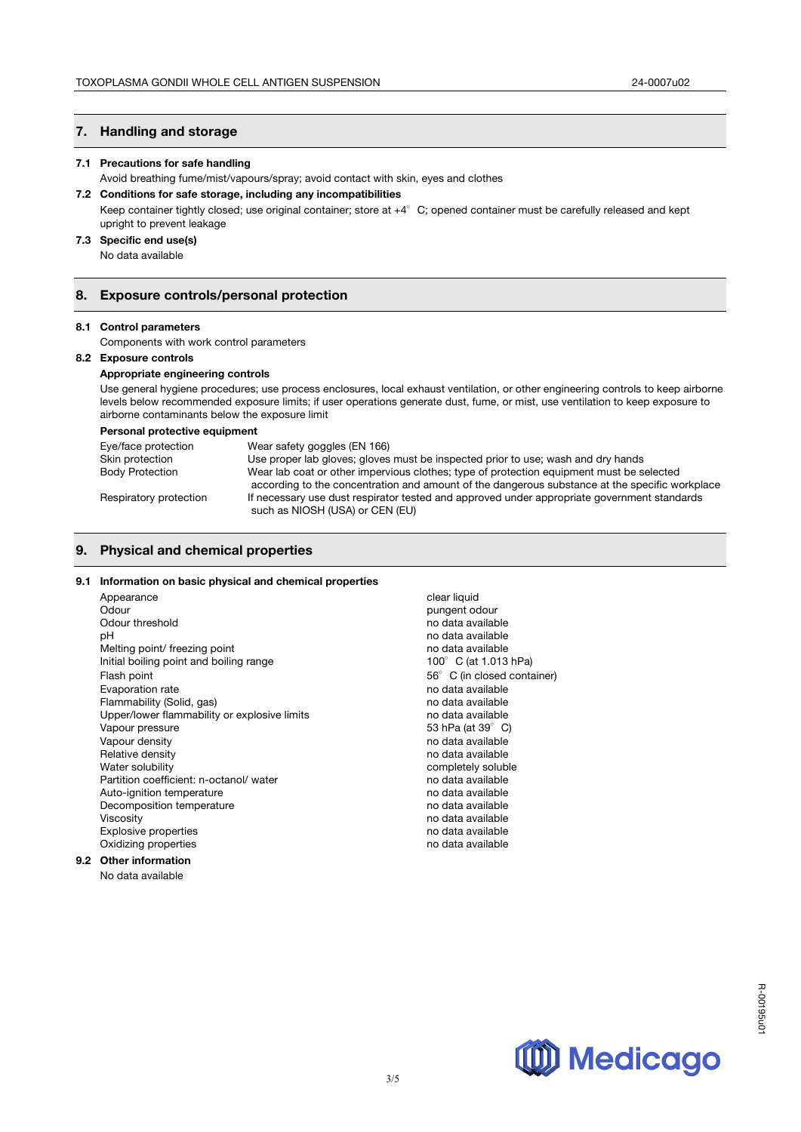### **7. Handling and storage**

#### **7.1 Precautions for safe handling**

Avoid breathing fume/mist/vapours/spray; avoid contact with skin, eyes and clothes

#### **7.2 Conditions for safe storage, including any incompatibilities**

Keep container tightly closed; use original container; store at  $+4^{\circ}$  C; opened container must be carefully released and kept upright to prevent leakage

### **7.3 Specific end use(s)**

No data available

#### **8. Exposure controls/personal protection**

#### **8.1 Control parameters**

Components with work control parameters

#### **8.2 Exposure controls**

#### **Appropriate engineering controls**

Use general hygiene procedures; use process enclosures, local exhaust ventilation, or other engineering controls to keep airborne levels below recommended exposure limits; if user operations generate dust, fume, or mist, use ventilation to keep exposure to airborne contaminants below the exposure limit

#### **Personal protective equipment**

| Eye/face protection    | Wear safety goggles (EN 166)                                                                   |
|------------------------|------------------------------------------------------------------------------------------------|
| Skin protection        | Use proper lab gloves; gloves must be inspected prior to use; wash and dry hands               |
| <b>Body Protection</b> | Wear lab coat or other impervious clothes; type of protection equipment must be selected       |
|                        | according to the concentration and amount of the dangerous substance at the specific workplace |
| Respiratory protection | If necessary use dust respirator tested and approved under appropriate government standards    |
|                        | such as NIOSH (USA) or CEN (EU)                                                                |

### **9. Physical and chemical properties**

#### **9.1 Information on basic physical and chemical properties**

| Appearance                                   |
|----------------------------------------------|
| Odour                                        |
| Odour threshold                              |
| рH                                           |
| Melting point/ freezing point                |
| Initial boiling point and boiling range      |
| Flash point                                  |
| Evaporation rate                             |
| Flammability (Solid, gas)                    |
| Upper/lower flammability or explosive limits |
| Vapour pressure                              |
| Vapour density                               |
| Relative density                             |
| Water solubility                             |
| Partition coefficient: n-octanol/water       |
| Auto-ignition temperature                    |
| Decomposition temperature                    |
| Viscosity                                    |
| <b>Explosive properties</b>                  |
| Oxidizing properties                         |
| Othar information                            |

## **9.2 Other information**

No data available

clear liquid pungent odour no data available no data available no data available  $100^\circ$  C (at 1.013 hPa)  $56^\circ$  C (in closed container) no data available no data available no data available 53 hPa (at 39°C) no data available no data available completely soluble no data available no data available no data available no data available no data available no data available

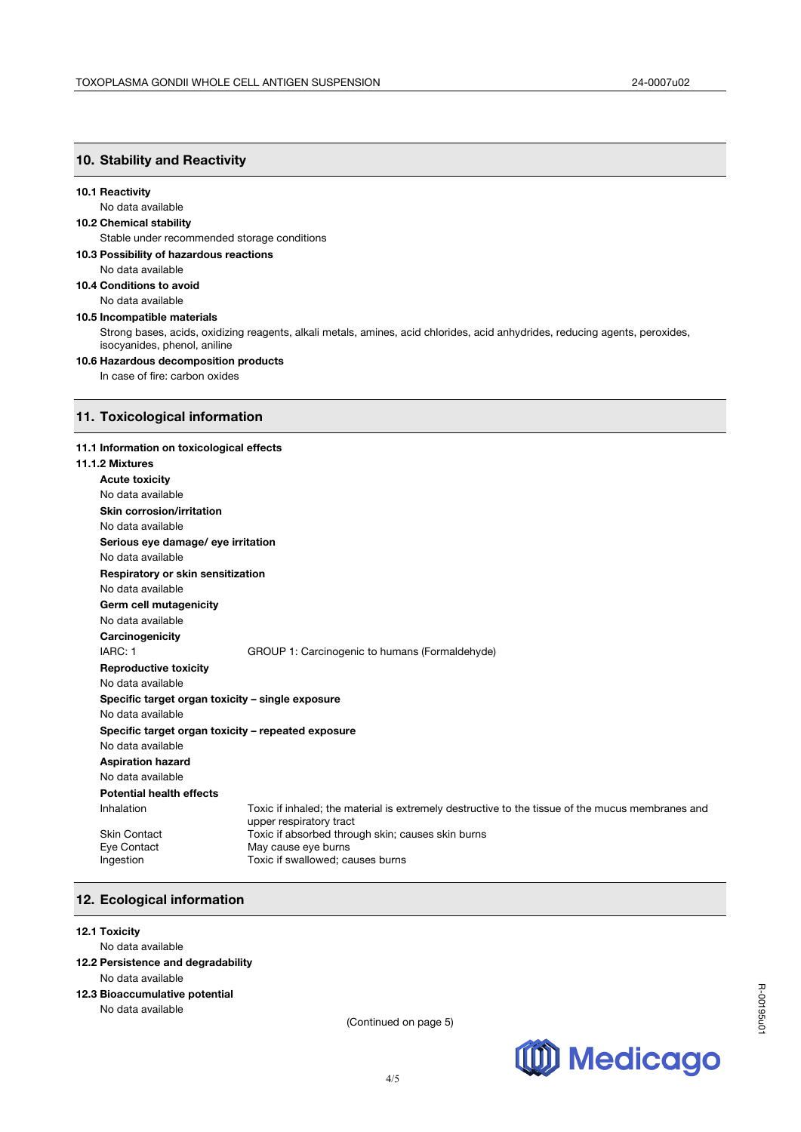### **10. Stability and Reactivity**

#### **10.1 Reactivity**

### No data available

### **10.2 Chemical stability**

Stable under recommended storage conditions

- **10.3 Possibility of hazardous reactions** 
	- No data available
- **10.4 Conditions to avoid**  No data available

### **10.5 Incompatible materials**

Strong bases, acids, oxidizing reagents, alkali metals, amines, acid chlorides, acid anhydrides, reducing agents, peroxides, isocyanides, phenol, aniline

#### **10.6 Hazardous decomposition products**

In case of fire: carbon oxides

### **11. Toxicological information**

#### **11.1 Information on toxicological effects**

### **11.1.2 Mixtures**

| 1.2 Mixtures                                       |                                                                                                                             |  |  |
|----------------------------------------------------|-----------------------------------------------------------------------------------------------------------------------------|--|--|
| <b>Acute toxicity</b>                              |                                                                                                                             |  |  |
| No data available                                  |                                                                                                                             |  |  |
| <b>Skin corrosion/irritation</b>                   |                                                                                                                             |  |  |
| No data available                                  |                                                                                                                             |  |  |
| Serious eye damage/ eye irritation                 |                                                                                                                             |  |  |
| No data available                                  |                                                                                                                             |  |  |
| Respiratory or skin sensitization                  |                                                                                                                             |  |  |
| No data available                                  |                                                                                                                             |  |  |
| Germ cell mutagenicity                             |                                                                                                                             |  |  |
| No data available                                  |                                                                                                                             |  |  |
| Carcinogenicity                                    |                                                                                                                             |  |  |
| IARC: 1                                            | GROUP 1: Carcinogenic to humans (Formaldehyde)                                                                              |  |  |
| <b>Reproductive toxicity</b>                       |                                                                                                                             |  |  |
| No data available                                  |                                                                                                                             |  |  |
| Specific target organ toxicity - single exposure   |                                                                                                                             |  |  |
| No data available                                  |                                                                                                                             |  |  |
| Specific target organ toxicity - repeated exposure |                                                                                                                             |  |  |
| No data available                                  |                                                                                                                             |  |  |
| <b>Aspiration hazard</b>                           |                                                                                                                             |  |  |
| No data available                                  |                                                                                                                             |  |  |
| <b>Potential health effects</b>                    |                                                                                                                             |  |  |
| Inhalation                                         | Toxic if inhaled; the material is extremely destructive to the tissue of the mucus membranes and<br>upper respiratory tract |  |  |
| <b>Skin Contact</b>                                | Toxic if absorbed through skin; causes skin burns                                                                           |  |  |
| Eye Contact                                        | May cause eye burns                                                                                                         |  |  |
| Ingestion                                          | Toxic if swallowed; causes burns                                                                                            |  |  |
|                                                    |                                                                                                                             |  |  |

### **12. Ecological information**

#### **12.1 Toxicity**

#### No data available

- **12.2 Persistence and degradability**
- No data available

### **12.3 Bioaccumulative potential**

No data available

(Continued on page 5)